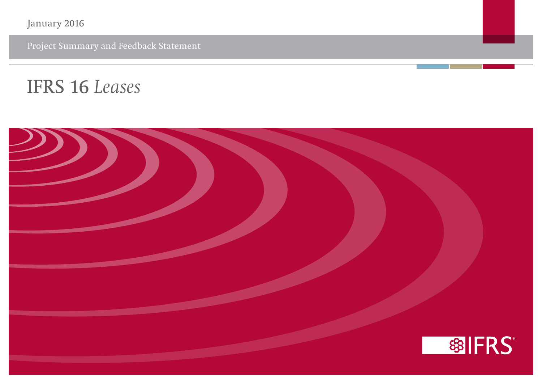January 2016

Project Summary and Feedback Statement

# **IFRS 16** *Leases*

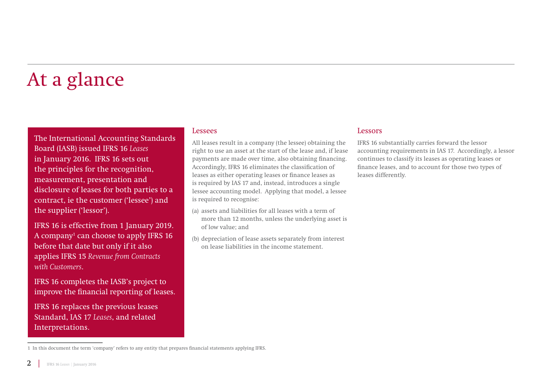# At a glance

The International Accounting Standards Board (IASB) issued IFRS 16 *Leases* in January 2016. IFRS 16 sets out the principles for the recognition, measurement, presentation and disclosure of leases for both parties to a contract, ie the customer ('lessee') and the supplier ('lessor').

IFRS 16 is effective from 1 January 2019. A company<sup>1</sup> can choose to apply IFRS 16 before that date but only if it also applies IFRS 15 *Revenue from Contracts with Customers*.

IFRS 16 completes the IASB's project to improve the financial reporting of leases.

IFRS 16 replaces the previous leases Standard, IAS 17 *Leases*, and related Interpretations.

#### 1 In this document the term 'company' refers to any entity that prepares financial statements applying IFRS.

Lessees

All leases result in a company (the lessee) obtaining the right to use an asset at the start of the lease and, if lease payments are made over time, also obtaining financing. Accordingly, IFRS 16 eliminates the classification of leases as either operating leases or finance leases as is required by IAS 17 and, instead, introduces a single lessee accounting model. Applying that model, a lessee is required to recognise:

- (a) assets and liabilities for all leases with a term of more than 12 months, unless the underlying asset is of low value; and
- (b) depreciation of lease assets separately from interest on lease liabilities in the income statement.

#### Lessors

IFRS 16 substantially carries forward the lessor accounting requirements in IAS 17. Accordingly, a lessor continues to classify its leases as operating leases or finance leases, and to account for those two types of leases differently.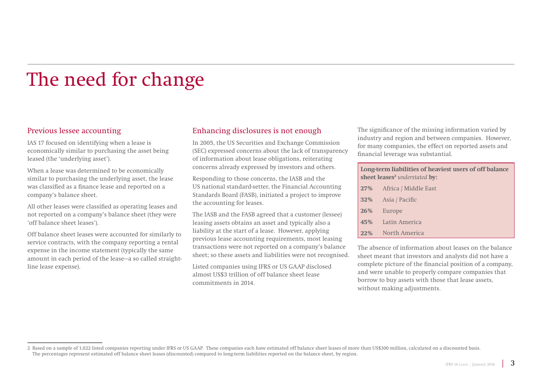# The need for change

### Previous lessee accounting

IAS 17 focused on identifying when a lease is economically similar to purchasing the asset being leased (the 'underlying asset').

When a lease was determined to be economically similar to purchasing the underlying asset, the lease was classified as a finance lease and reported on a company's balance sheet.

All other leases were classified as operating leases and not reported on a company's balance sheet (they were 'off balance sheet leases').

Off balance sheet leases were accounted for similarly to service contracts, with the company reporting a rental expense in the income statement (typically the same amount in each period of the lease—a so called straightline lease expense).

### Enhancing disclosures is not enough

In 2005, the US Securities and Exchange Commission (SEC) expressed concerns about the lack of transparency of information about lease obligations, reiterating concerns already expressed by investors and others.

Responding to those concerns, the IASB and the US national standard-setter, the Financial Accounting Standards Board (FASB), initiated a project to improve the accounting for leases.

The IASB and the FASB agreed that a customer (lessee) leasing assets obtains an asset and typically also a liability at the start of a lease. However, applying previous lease accounting requirements, most leasing transactions were not reported on a company's balance sheet; so these assets and liabilities were not recognised.

Listed companies using IFRS or US GAAP disclosed almost US\$3 trillion of off balance sheet lease commitments in 2014.

The significance of the missing information varied by industry and region and between companies. However, for many companies, the effect on reported assets and financial leverage was substantial.

**Long-term liabilities of heaviest users of off balance sheet leases<sup>2</sup>** *understated* **by:** 

| 27% Africa / Middle East |
|--------------------------|
| 32% Asia / Pacific       |
| 26% Europe               |
| 45% Latin America        |
| 22% North America        |

The absence of information about leases on the balance sheet meant that investors and analysts did not have a complete picture of the financial position of a company, and were unable to properly compare companies that borrow to buy assets with those that lease assets, without making adjustments.

<sup>2</sup> Based on a sample of 1,022 listed companies reporting under IFRS or US GAAP. These companies each have estimated off balance sheet leases of more than US\$300 million, calculated on a discounted basis. The percentages represent estimated off balance sheet leases (discounted) compared to long-term liabilities reported on the balance sheet, by region.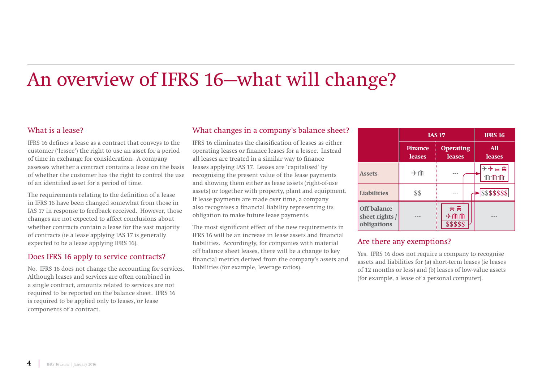# An overview of IFRS 16—what will change?

### What is a lease?

IFRS 16 defines a lease as a contract that conveys to the customer ('lessee') the right to use an asset for a period of time in exchange for consideration. A company assesses whether a contract contains a lease on the basis of whether the customer has the right to control the use of an identified asset for a period of time.

The requirements relating to the definition of a lease in IFRS 16 have been changed somewhat from those in IAS 17 in response to feedback received. However, those changes are not expected to affect conclusions about whether contracts contain a lease for the vast majority of contracts (ie a lease applying IAS 17 is generally expected to be a lease applying IFRS 16).

### Does IFRS 16 apply to service contracts?

No. IFRS 16 does not change the accounting for services. Although leases and services are often combined in a single contract, amounts related to services are not required to be reported on the balance sheet. IFRS 16 is required to be applied only to leases, or lease components of a contract.

### What changes in a company's balance sheet?

IFRS 16 eliminates the classification of leases as either operating leases or finance leases for a lessee. Instead all leases are treated in a similar way to finance leases applying IAS 17. Leases are 'capitalised' by recognising the present value of the lease payments and showing them either as lease assets (right-of-use assets) or together with property, plant and equipment. If lease payments are made over time, a company also recognises a financial liability representing its obligation to make future lease payments.

The most significant effect of the new requirements in IFRS 16 will be an increase in lease assets and financial liabilities. Accordingly, for companies with material off balance sheet leases, there will be a change to key financial metrics derived from the company's assets and liabilities (for example, leverage ratios).

|                                                     | <b>IAS 17</b>                   |                                           | <b>IFRS 16</b>                 |
|-----------------------------------------------------|---------------------------------|-------------------------------------------|--------------------------------|
|                                                     | <b>Finance</b><br><b>leases</b> | <b>Operating</b><br><b>leases</b>         | <b>All</b><br><b>leases</b>    |
| <b>Assets</b>                                       | →Ⅲ                              |                                           | けけの用<br>$\mathbb{M}\mathbb{M}$ |
| <b>Liabilities</b>                                  | \$\$                            |                                           | \$\$\$\$\$\$\$                 |
| <b>Off balance</b><br>sheet rights /<br>obligations |                                 | $\Leftrightarrow \R$<br>→ⅢⅢ<br>\$\$\$\$\$ |                                |

### Are there any exemptions?

Yes. IFRS 16 does not require a company to recognise assets and liabilities for (a) short-term leases (ie leases of 12 months or less) and (b) leases of low-value assets (for example, a lease of a personal computer).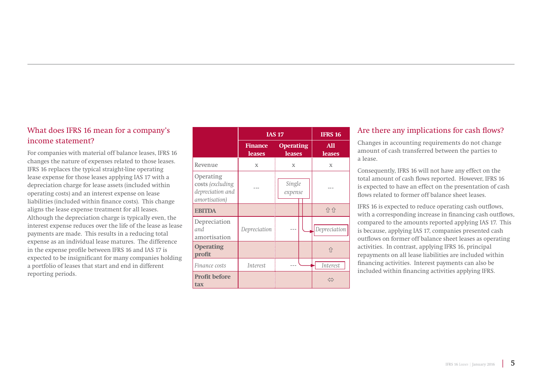## What does IFRS 16 mean for a company's income statement?

For companies with material off balance leases, IFRS 16 changes the nature of expenses related to those leases. IFRS 16 replaces the typical straight-line operating lease expense for those leases applying IAS 17 with a depreciation charge for lease assets (included within operating costs) and an interest expense on lease liabilities (included within finance costs). This change aligns the lease expense treatment for all leases. Although the depreciation charge is typically even, the interest expense reduces over the life of the lease as lease payments are made. This results in a reducing total expense as an individual lease matures. The difference in the expense profile between IFRS 16 and IAS 17 is expected to be insignificant for many companies holding a portfolio of leases that start and end in different reporting periods.

|                                                                    | <b>IAS 17</b>                   |                                   | <b>IFRS 16</b>               |
|--------------------------------------------------------------------|---------------------------------|-----------------------------------|------------------------------|
|                                                                    | <b>Finance</b><br><b>leases</b> | <b>Operating</b><br><b>leases</b> | <b>All</b><br><b>leases</b>  |
| Revenue                                                            | $\mathbf x$                     | X                                 | X                            |
| Operating<br>costs (excluding<br>depreciation and<br>amortisation) |                                 | Single<br>expense                 |                              |
| <b>EBITDA</b>                                                      |                                 |                                   | 介介                           |
| Depreciation<br>and<br>amortisation                                | Depreciation                    |                                   | Depreciation                 |
| <b>Operating</b><br>profit                                         |                                 |                                   | 介                            |
| Finance costs                                                      | Interest                        |                                   | Interest                     |
| <b>Profit before</b><br>tax                                        |                                 |                                   | $\left\langle \right\rangle$ |

### Are there any implications for cash flows?

Changes in accounting requirements do not change amount of cash transferred between the parties to a lease.

Consequently, IFRS 16 will not have any effect on the total amount of cash flows reported. However, IFRS 16 is expected to have an effect on the presentation of cash flows related to former off balance sheet leases.

IFRS 16 is expected to reduce operating cash outflows, with a corresponding increase in financing cash outflows, compared to the amounts reported applying IAS 17. This is because, applying IAS 17, companies presented cash outflows on former off balance sheet leases as operating activities. In contrast, applying IFRS 16, principal repayments on all lease liabilities are included within financing activities. Interest payments can also be included within financing activities applying IFRS.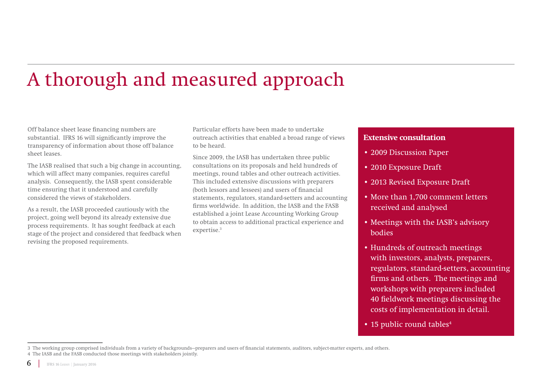# A thorough and measured approach

Off balance sheet lease financing numbers are substantial. IFRS 16 will significantly improve the transparency of information about those off balance sheet leases.

The IASB realised that such a big change in accounting, which will affect many companies, requires careful analysis. Consequently, the IASB spent considerable time ensuring that it understood and carefully considered the views of stakeholders.

As a result, the IASB proceeded cautiously with the project, going well beyond its already extensive due process requirements. It has sought feedback at each stage of the project and considered that feedback when revising the proposed requirements.

Particular efforts have been made to undertake outreach activities that enabled a broad range of views to be heard.

Since 2009, the IASB has undertaken three public consultations on its proposals and held hundreds of meetings, round tables and other outreach activities. This included extensive discussions with preparers (both lessors and lessees) and users of financial statements, regulators, standard-setters and accounting firms worldwide. In addition, the IASB and the FASB established a joint Lease Accounting Working Group to obtain access to additional practical experience and expertise.3

### **Extensive consultation**

- 2009 Discussion Paper
- 2010 Exposure Draft
- 2013 Revised Exposure Draft
- More than 1,700 comment letters received and analysed
- Meetings with the IASB's advisory bodies
- Hundreds of outreach meetings with investors, analysts, preparers, regulators, standard-setters, accounting firms and others. The meetings and workshops with preparers included 40 fieldwork meetings discussing the costs of implementation in detail.
- 15 public round tables<sup>4</sup>

<sup>3</sup> The working group comprised individuals from a variety of backgrounds—preparers and users of financial statements, auditors, subject-matter experts, and others. 4 The IASB and the FASB conducted those meetings with stakeholders jointly.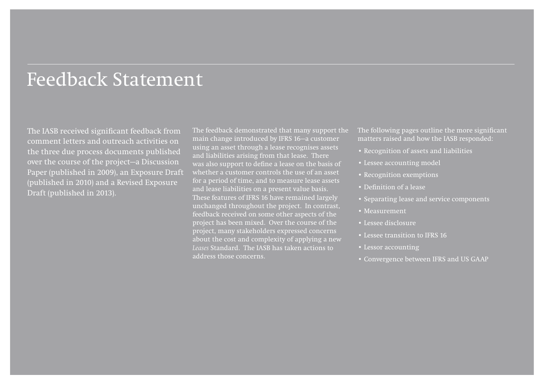## Feedback Statement

The IASB received significant feedback from comment letters and outreach activities on the three due process documents published over the course of the project—a Discussion Paper (published in 2009), an Exposure Draft (published in 2010) and a Revised Exposure Draft (published in 2013).

The feedback demonstrated that many support the main change introduced by IFRS 16—a customer using an asset through a lease recognises assets and liabilities arising from that lease. There was also support to define a lease on the basis of whether a customer controls the use of an asset for a period of time, and to measure lease assets and lease liabilities on a present value basis. These features of IFRS 16 have remained largely unchanged throughout the project. In contrast, feedback received on some other aspects of the project has been mixed. Over the course of the project, many stakeholders expressed concerns about the cost and complexity of applying a new *Leases* Standard. The IASB has taken actions to address those concerns.

The following pages outline the more significant matters raised and how the IASB responded:

- Recognition of assets and liabilities
- Lessee accounting model
- Recognition exemptions
- Definition of a lease
- Separating lease and service components
- Measurement
- Lessee disclosure
- Lessee transition to IFRS 16
- Lessor accounting
- Convergence between IFRS and US GAAP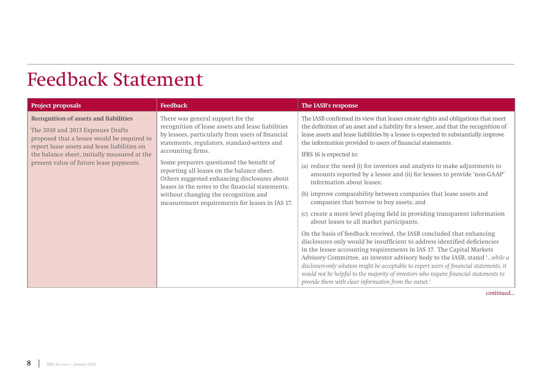## Feedback Statement

| <b>Project proposals</b>                                                                                                                                                                                                                                                    | <b>Feedback</b>                                                                                                                                                                                                                                                                                                                                                                                                                                                                                         | The IASB's response                                                                                                                                                                                                                                                                                                                                                                                                                                                                                                                                                                                                                                                                                                                                                                                                                                                                                                                                                                                                                                                                                                                                                                                                                                                                                                                              |
|-----------------------------------------------------------------------------------------------------------------------------------------------------------------------------------------------------------------------------------------------------------------------------|---------------------------------------------------------------------------------------------------------------------------------------------------------------------------------------------------------------------------------------------------------------------------------------------------------------------------------------------------------------------------------------------------------------------------------------------------------------------------------------------------------|--------------------------------------------------------------------------------------------------------------------------------------------------------------------------------------------------------------------------------------------------------------------------------------------------------------------------------------------------------------------------------------------------------------------------------------------------------------------------------------------------------------------------------------------------------------------------------------------------------------------------------------------------------------------------------------------------------------------------------------------------------------------------------------------------------------------------------------------------------------------------------------------------------------------------------------------------------------------------------------------------------------------------------------------------------------------------------------------------------------------------------------------------------------------------------------------------------------------------------------------------------------------------------------------------------------------------------------------------|
| <b>Recognition of assets and liabilities</b><br>The 2010 and 2013 Exposure Drafts<br>proposed that a lessee would be required to<br>report lease assets and lease liabilities on<br>the balance sheet, initially measured at the<br>present value of future lease payments. | There was general support for the<br>recognition of lease assets and lease liabilities<br>by lessees, particularly from users of financial<br>statements, regulators, standard-setters and<br>accounting firms.<br>Some preparers questioned the benefit of<br>reporting all leases on the balance sheet.<br>Others suggested enhancing disclosures about<br>leases in the notes to the financial statements,<br>without changing the recognition and<br>measurement requirements for leases in IAS 17. | The IASB confirmed its view that leases create rights and obligations that meet<br>the definition of an asset and a liability for a lessee, and that the recognition of<br>lease assets and lease liabilities by a lessee is expected to substantially improve<br>the information provided to users of financial statements.<br>IFRS 16 is expected to:<br>(a) reduce the need (i) for investors and analysts to make adjustments to<br>amounts reported by a lessee and (ii) for lessees to provide 'non-GAAP'<br>information about leases;<br>(b) improve comparability between companies that lease assets and<br>companies that borrow to buy assets; and<br>(c) create a more level playing field in providing transparent information<br>about leases to all market participants.<br>On the basis of feedback received, the IASB concluded that enhancing<br>disclosures only would be insufficient to address identified deficiencies<br>in the lessee accounting requirements in IAS 17. The Capital Markets<br>Advisory Committee, an investor advisory body to the IASB, stated 'while a<br>disclosure-only solution might be acceptable to expert users of financial statements, it<br>would not be helpful to the majority of investors who require financial statements to<br>provide them with clear information from the outset.' |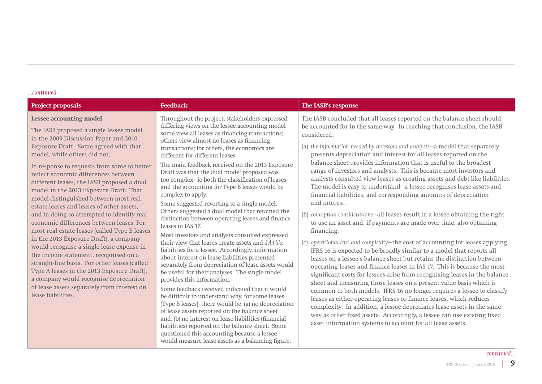| <b>Project proposals</b>                                                                                                                                                                                                                                                                                                                                                                                                                                                                                                                                                                                                                                                                                                                                                                                                                                                                                                                                  | <b>Feedback</b>                                                                                                                                                                                                                                                                                                                                                                                                                                                                                                                                                                                                                                                                                                                                                                                                                                                                                                                                                                                                                                                                                                                                                                                                                                                                                                                                                                                                                                                               | The IASB's response                                                                                                                                                                                                                                                                                                                                                                                                                                                                                                                                                                                                                                                                                                                                                                                                                                                                                                                                                                                                                                                                                                                                                                                                                                                                                                                                                                                                                                                                                                                                                                                                                                                                                                            |
|-----------------------------------------------------------------------------------------------------------------------------------------------------------------------------------------------------------------------------------------------------------------------------------------------------------------------------------------------------------------------------------------------------------------------------------------------------------------------------------------------------------------------------------------------------------------------------------------------------------------------------------------------------------------------------------------------------------------------------------------------------------------------------------------------------------------------------------------------------------------------------------------------------------------------------------------------------------|-------------------------------------------------------------------------------------------------------------------------------------------------------------------------------------------------------------------------------------------------------------------------------------------------------------------------------------------------------------------------------------------------------------------------------------------------------------------------------------------------------------------------------------------------------------------------------------------------------------------------------------------------------------------------------------------------------------------------------------------------------------------------------------------------------------------------------------------------------------------------------------------------------------------------------------------------------------------------------------------------------------------------------------------------------------------------------------------------------------------------------------------------------------------------------------------------------------------------------------------------------------------------------------------------------------------------------------------------------------------------------------------------------------------------------------------------------------------------------|--------------------------------------------------------------------------------------------------------------------------------------------------------------------------------------------------------------------------------------------------------------------------------------------------------------------------------------------------------------------------------------------------------------------------------------------------------------------------------------------------------------------------------------------------------------------------------------------------------------------------------------------------------------------------------------------------------------------------------------------------------------------------------------------------------------------------------------------------------------------------------------------------------------------------------------------------------------------------------------------------------------------------------------------------------------------------------------------------------------------------------------------------------------------------------------------------------------------------------------------------------------------------------------------------------------------------------------------------------------------------------------------------------------------------------------------------------------------------------------------------------------------------------------------------------------------------------------------------------------------------------------------------------------------------------------------------------------------------------|
| <b>Lessee accounting model</b><br>The IASB proposed a single lessee model<br>in the 2009 Discussion Paper and 2010<br>Exposure Draft. Some agreed with that<br>model, while others did not.<br>In response to requests from some to better<br>reflect economic differences between<br>different leases, the IASB proposed a dual<br>model in the 2013 Exposure Draft. That<br>model distinguished between most real<br>estate leases and leases of other assets,<br>and in doing so attempted to identify real<br>economic differences between leases. For<br>most real estate leases (called Type B leases<br>in the 2013 Exposure Draft), a company<br>would recognise a single lease expense in<br>the income statement, recognised on a<br>straight-line basis. For other leases (called<br>Type A leases in the 2013 Exposure Draft),<br>a company would recognise depreciation<br>of lease assets separately from interest on<br>lease liabilities. | Throughout the project, stakeholders expressed<br>differing views on the lessee accounting model-<br>some view all leases as financing transactions;<br>others view almost no leases as financing<br>transactions; for others, the economics are<br>different for different leases.<br>The main feedback received on the 2013 Exposure<br>Draft was that the dual model proposed was<br>too complex-ie both the classification of leases<br>and the accounting for Type B leases would be<br>complex to apply.<br>Some suggested reverting to a single model.<br>Others suggested a dual model that retained the<br>distinction between operating leases and finance<br>leases in IAS 17.<br>Most investors and analysts consulted expressed<br>their view that leases create assets and debt-like<br>liabilities for a lessee. Accordingly, information<br>about interest on lease liabilities presented<br>separately from depreciation of lease assets would<br>be useful for their analyses. The single model<br>provides this information.<br>Some feedback received indicated that it would<br>be difficult to understand why, for some leases<br>(Type B leases), there would be: (a) no depreciation<br>of lease assets reported on the balance sheet<br>and; (b) no interest on lease liabilities (financial<br>liabilities) reported on the balance sheet. Some<br>questioned this accounting because a lessee<br>would measure lease assets as a balancing figure. | The IASB concluded that all leases reported on the balance sheet should<br>be accounted for in the same way. In reaching that conclusion, the IASB<br>considered:<br>(a) the information needed by investors and analysts-a model that separately<br>presents depreciation and interest for all leases reported on the<br>balance sheet provides information that is useful to the broadest<br>range of investors and analysts. This is because most investors and<br>analysts consulted view leases as creating assets and debt-like liabilities.<br>The model is easy to understand-a lessee recognises lease assets and<br>financial liabilities, and corresponding amounts of depreciation<br>and interest.<br>(b) conceptual considerations-all leases result in a lessee obtaining the right<br>to use an asset and, if payments are made over time, also obtaining<br>financing.<br>(c) operational cost and complexity-the cost of accounting for leases applying<br>IFRS 16 is expected to be broadly similar to a model that reports all<br>leases on a lessee's balance sheet but retains the distinction between<br>operating leases and finance leases in IAS 17. This is because the most<br>significant costs for lessees arise from recognising leases in the balance<br>sheet and measuring those leases on a present value basis which is<br>common to both models. IFRS 16 no longer requires a lessee to classify<br>leases as either operating leases or finance leases, which reduces<br>complexity. In addition, a lessee depreciates lease assets in the same<br>way as other fixed assets. Accordingly, a lessee can use existing fixed<br>asset information systems to account for all lease assets. |
|                                                                                                                                                                                                                                                                                                                                                                                                                                                                                                                                                                                                                                                                                                                                                                                                                                                                                                                                                           |                                                                                                                                                                                                                                                                                                                                                                                                                                                                                                                                                                                                                                                                                                                                                                                                                                                                                                                                                                                                                                                                                                                                                                                                                                                                                                                                                                                                                                                                               | continued.                                                                                                                                                                                                                                                                                                                                                                                                                                                                                                                                                                                                                                                                                                                                                                                                                                                                                                                                                                                                                                                                                                                                                                                                                                                                                                                                                                                                                                                                                                                                                                                                                                                                                                                     |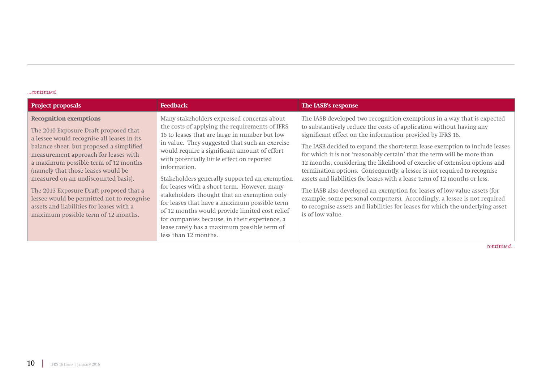| <b>Project proposals</b>                                                                                                                                                                                                                                                                                                                                                                                                                                                                                  | <b>Feedback</b>                                                                                                                                                                                                                                                                                                                                                                                                                                                                                                                                                                                                                                                                        | The IASB's response                                                                                                                                                                                                                                                                                                                                                                                                                                                                                                                                                                                                                                                                                                                                                                                                                                                         |
|-----------------------------------------------------------------------------------------------------------------------------------------------------------------------------------------------------------------------------------------------------------------------------------------------------------------------------------------------------------------------------------------------------------------------------------------------------------------------------------------------------------|----------------------------------------------------------------------------------------------------------------------------------------------------------------------------------------------------------------------------------------------------------------------------------------------------------------------------------------------------------------------------------------------------------------------------------------------------------------------------------------------------------------------------------------------------------------------------------------------------------------------------------------------------------------------------------------|-----------------------------------------------------------------------------------------------------------------------------------------------------------------------------------------------------------------------------------------------------------------------------------------------------------------------------------------------------------------------------------------------------------------------------------------------------------------------------------------------------------------------------------------------------------------------------------------------------------------------------------------------------------------------------------------------------------------------------------------------------------------------------------------------------------------------------------------------------------------------------|
| <b>Recognition exemptions</b><br>The 2010 Exposure Draft proposed that<br>a lessee would recognise all leases in its<br>balance sheet, but proposed a simplified<br>measurement approach for leases with<br>a maximum possible term of 12 months<br>(namely that those leases would be<br>measured on an undiscounted basis).<br>The 2013 Exposure Draft proposed that a<br>lessee would be permitted not to recognise<br>assets and liabilities for leases with a<br>maximum possible term of 12 months. | Many stakeholders expressed concerns about<br>the costs of applying the requirements of IFRS<br>16 to leases that are large in number but low<br>in value. They suggested that such an exercise<br>would require a significant amount of effort<br>with potentially little effect on reported<br>information.<br>Stakeholders generally supported an exemption<br>for leases with a short term. However, many<br>stakeholders thought that an exemption only<br>for leases that have a maximum possible term<br>of 12 months would provide limited cost relief<br>for companies because, in their experience, a<br>lease rarely has a maximum possible term of<br>less than 12 months. | The IASB developed two recognition exemptions in a way that is expected<br>to substantively reduce the costs of application without having any<br>significant effect on the information provided by IFRS 16.<br>The IASB decided to expand the short-term lease exemption to include leases<br>for which it is not 'reasonably certain' that the term will be more than<br>12 months, considering the likelihood of exercise of extension options and<br>termination options. Consequently, a lessee is not required to recognise<br>assets and liabilities for leases with a lease term of 12 months or less.<br>The IASB also developed an exemption for leases of low-value assets (for<br>example, some personal computers). Accordingly, a lessee is not required<br>to recognise assets and liabilities for leases for which the underlying asset<br>is of low value. |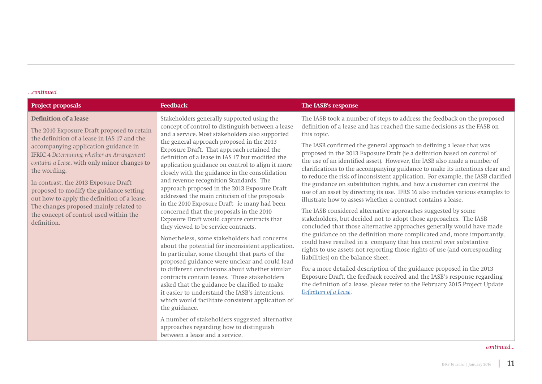| <b>Project proposals</b>                                                                                                                                                                                                                                                                                                                                                                                                                                                                                             | <b>Feedback</b>                                                                                                                                                                                                                                                                                                                                                                                                                                                                                                                                                                                                                                                                                                                                                                                                                                                                                                                                                                                                                                                                                                                                                                                                                                                                                                                                    | The IASB's response                                                                                                                                                                                                                                                                                                                                                                                                                                                                                                                                                                                                                                                                                                                                                                                                                                                                                                                                                                                                                                                                                                                                                                                                                                                                                                                                                                                                                                                                                                                              |
|----------------------------------------------------------------------------------------------------------------------------------------------------------------------------------------------------------------------------------------------------------------------------------------------------------------------------------------------------------------------------------------------------------------------------------------------------------------------------------------------------------------------|----------------------------------------------------------------------------------------------------------------------------------------------------------------------------------------------------------------------------------------------------------------------------------------------------------------------------------------------------------------------------------------------------------------------------------------------------------------------------------------------------------------------------------------------------------------------------------------------------------------------------------------------------------------------------------------------------------------------------------------------------------------------------------------------------------------------------------------------------------------------------------------------------------------------------------------------------------------------------------------------------------------------------------------------------------------------------------------------------------------------------------------------------------------------------------------------------------------------------------------------------------------------------------------------------------------------------------------------------|--------------------------------------------------------------------------------------------------------------------------------------------------------------------------------------------------------------------------------------------------------------------------------------------------------------------------------------------------------------------------------------------------------------------------------------------------------------------------------------------------------------------------------------------------------------------------------------------------------------------------------------------------------------------------------------------------------------------------------------------------------------------------------------------------------------------------------------------------------------------------------------------------------------------------------------------------------------------------------------------------------------------------------------------------------------------------------------------------------------------------------------------------------------------------------------------------------------------------------------------------------------------------------------------------------------------------------------------------------------------------------------------------------------------------------------------------------------------------------------------------------------------------------------------------|
| <b>Definition of a lease</b><br>The 2010 Exposure Draft proposed to retain<br>the definition of a lease in IAS 17 and the<br>accompanying application guidance in<br>IFRIC 4 Determining whether an Arrangement<br>contains a Lease, with only minor changes to<br>the wording.<br>In contrast, the 2013 Exposure Draft<br>proposed to modify the guidance setting<br>out how to apply the definition of a lease.<br>The changes proposed mainly related to<br>the concept of control used within the<br>definition. | Stakeholders generally supported using the<br>concept of control to distinguish between a lease<br>and a service. Most stakeholders also supported<br>the general approach proposed in the 2013<br>Exposure Draft. That approach retained the<br>definition of a lease in IAS 17 but modified the<br>application guidance on control to align it more<br>closely with the guidance in the consolidation<br>and revenue recognition Standards. The<br>approach proposed in the 2013 Exposure Draft<br>addressed the main criticism of the proposals<br>in the 2010 Exposure Draft-ie many had been<br>concerned that the proposals in the 2010<br>Exposure Draft would capture contracts that<br>they viewed to be service contracts.<br>Nonetheless, some stakeholders had concerns<br>about the potential for inconsistent application.<br>In particular, some thought that parts of the<br>proposed guidance were unclear and could lead<br>to different conclusions about whether similar<br>contracts contain leases. Those stakeholders<br>asked that the guidance be clarified to make<br>it easier to understand the IASB's intentions,<br>which would facilitate consistent application of<br>the guidance.<br>A number of stakeholders suggested alternative<br>approaches regarding how to distinguish<br>between a lease and a service. | The IASB took a number of steps to address the feedback on the proposed<br>definition of a lease and has reached the same decisions as the FASB on<br>this topic.<br>The IASB confirmed the general approach to defining a lease that was<br>proposed in the 2013 Exposure Draft (ie a definition based on control of<br>the use of an identified asset). However, the IASB also made a number of<br>clarifications to the accompanying guidance to make its intentions clear and<br>to reduce the risk of inconsistent application. For example, the IASB clarified<br>the guidance on substitution rights, and how a customer can control the<br>use of an asset by directing its use. IFRS 16 also includes various examples to<br>illustrate how to assess whether a contract contains a lease.<br>The IASB considered alternative approaches suggested by some<br>stakeholders, but decided not to adopt those approaches. The IASB<br>concluded that those alternative approaches generally would have made<br>the guidance on the definition more complicated and, more importantly,<br>could have resulted in a company that has control over substantive<br>rights to use assets not reporting those rights of use (and corresponding<br>liabilities) on the balance sheet.<br>For a more detailed description of the guidance proposed in the 2013<br>Exposure Draft, the feedback received and the IASB's response regarding<br>the definition of a lease, please refer to the February 2015 Project Update<br>Definition of a Lease. |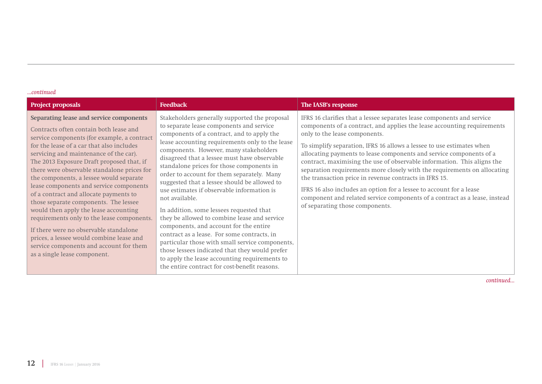| <b>Project proposals</b>                                                                                                                                                                                                                                                                                                                                                                                                                                                                                                                                                                                                                                                                                                                             | <b>Feedback</b>                                                                                                                                                                                                                                                                                                                                                                                                                                                                                                                                                                                                                                                                                                                                                                                                                                                                             | The IASB's response                                                                                                                                                                                                                                                                                                                                                                                                                                                                                                                                                                                                                                                                                                                         |
|------------------------------------------------------------------------------------------------------------------------------------------------------------------------------------------------------------------------------------------------------------------------------------------------------------------------------------------------------------------------------------------------------------------------------------------------------------------------------------------------------------------------------------------------------------------------------------------------------------------------------------------------------------------------------------------------------------------------------------------------------|---------------------------------------------------------------------------------------------------------------------------------------------------------------------------------------------------------------------------------------------------------------------------------------------------------------------------------------------------------------------------------------------------------------------------------------------------------------------------------------------------------------------------------------------------------------------------------------------------------------------------------------------------------------------------------------------------------------------------------------------------------------------------------------------------------------------------------------------------------------------------------------------|---------------------------------------------------------------------------------------------------------------------------------------------------------------------------------------------------------------------------------------------------------------------------------------------------------------------------------------------------------------------------------------------------------------------------------------------------------------------------------------------------------------------------------------------------------------------------------------------------------------------------------------------------------------------------------------------------------------------------------------------|
| Separating lease and service components<br>Contracts often contain both lease and<br>service components (for example, a contract<br>for the lease of a car that also includes<br>servicing and maintenance of the car).<br>The 2013 Exposure Draft proposed that, if<br>there were observable standalone prices for<br>the components, a lessee would separate<br>lease components and service components<br>of a contract and allocate payments to<br>those separate components. The lessee<br>would then apply the lease accounting<br>requirements only to the lease components.<br>If there were no observable standalone<br>prices, a lessee would combine lease and<br>service components and account for them<br>as a single lease component. | Stakeholders generally supported the proposal<br>to separate lease components and service<br>components of a contract, and to apply the<br>lease accounting requirements only to the lease<br>components. However, many stakeholders<br>disagreed that a lessee must have observable<br>standalone prices for those components in<br>order to account for them separately. Many<br>suggested that a lessee should be allowed to<br>use estimates if observable information is<br>not available.<br>In addition, some lessees requested that<br>they be allowed to combine lease and service<br>components, and account for the entire<br>contract as a lease. For some contracts, in<br>particular those with small service components,<br>those lessees indicated that they would prefer<br>to apply the lease accounting requirements to<br>the entire contract for cost-benefit reasons. | IFRS 16 clarifies that a lessee separates lease components and service<br>components of a contract, and applies the lease accounting requirements<br>only to the lease components.<br>To simplify separation, IFRS 16 allows a lessee to use estimates when<br>allocating payments to lease components and service components of a<br>contract, maximising the use of observable information. This aligns the<br>separation requirements more closely with the requirements on allocating<br>the transaction price in revenue contracts in IFRS 15.<br>IFRS 16 also includes an option for a lessee to account for a lease<br>component and related service components of a contract as a lease, instead<br>of separating those components. |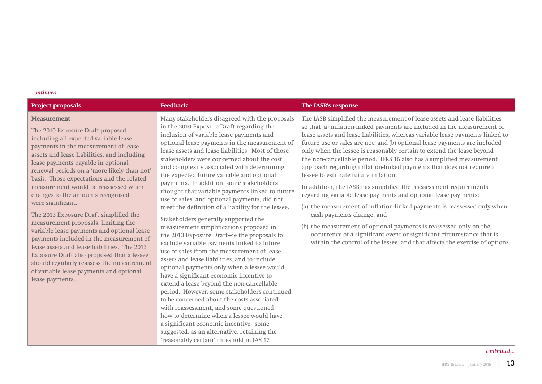| <b>Project proposals</b>                                                                                                                                                                                                                                                                                                                                                                                                                                                                                                                                                                                                                                                                                                                                                                                      | <b>Feedback</b>                                                                                                                                                                                                                                                                                                                                                                                                                                                                                                                                                                                                                                                                                                                                                                                                                                                                                                                                                                                                                                                                                                                                                                                                                                                                                                                           | The IASB's response                                                                                                                                                                                                                                                                                                                                                                                                                                                                                                                                                                                                                                                                                                                                                                                                                                                                                                                                                                                                                                                 |
|---------------------------------------------------------------------------------------------------------------------------------------------------------------------------------------------------------------------------------------------------------------------------------------------------------------------------------------------------------------------------------------------------------------------------------------------------------------------------------------------------------------------------------------------------------------------------------------------------------------------------------------------------------------------------------------------------------------------------------------------------------------------------------------------------------------|-------------------------------------------------------------------------------------------------------------------------------------------------------------------------------------------------------------------------------------------------------------------------------------------------------------------------------------------------------------------------------------------------------------------------------------------------------------------------------------------------------------------------------------------------------------------------------------------------------------------------------------------------------------------------------------------------------------------------------------------------------------------------------------------------------------------------------------------------------------------------------------------------------------------------------------------------------------------------------------------------------------------------------------------------------------------------------------------------------------------------------------------------------------------------------------------------------------------------------------------------------------------------------------------------------------------------------------------|---------------------------------------------------------------------------------------------------------------------------------------------------------------------------------------------------------------------------------------------------------------------------------------------------------------------------------------------------------------------------------------------------------------------------------------------------------------------------------------------------------------------------------------------------------------------------------------------------------------------------------------------------------------------------------------------------------------------------------------------------------------------------------------------------------------------------------------------------------------------------------------------------------------------------------------------------------------------------------------------------------------------------------------------------------------------|
| <b>Measurement</b><br>The 2010 Exposure Draft proposed<br>including all expected variable lease<br>payments in the measurement of lease<br>assets and lease liabilities, and including<br>lease payments payable in optional<br>renewal periods on a 'more likely than not'<br>basis. Those expectations and the related<br>measurement would be reassessed when<br>changes to the amounts recognised<br>were significant.<br>The 2013 Exposure Draft simplified the<br>measurement proposals, limiting the<br>variable lease payments and optional lease<br>payments included in the measurement of<br>lease assets and lease liabilities. The 2013<br>Exposure Draft also proposed that a lessee<br>should regularly reassess the measurement<br>of variable lease payments and optional<br>lease payments. | Many stakeholders disagreed with the proposals<br>in the 2010 Exposure Draft regarding the<br>inclusion of variable lease payments and<br>optional lease payments in the measurement of<br>lease assets and lease liabilities. Most of those<br>stakeholders were concerned about the cost<br>and complexity associated with determining<br>the expected future variable and optional<br>payments. In addition, some stakeholders<br>thought that variable payments linked to future<br>use or sales, and optional payments, did not<br>meet the definition of a liability for the lessee.<br>Stakeholders generally supported the<br>measurement simplifications proposed in<br>the 2013 Exposure Draft-ie the proposals to<br>exclude variable payments linked to future<br>use or sales from the measurement of lease<br>assets and lease liabilities, and to include<br>optional payments only when a lessee would<br>have a significant economic incentive to<br>extend a lease beyond the non-cancellable<br>period. However, some stakeholders continued<br>to be concerned about the costs associated<br>with reassessment, and some questioned<br>how to determine when a lessee would have<br>a significant economic incentive-some<br>suggested, as an alternative, retaining the<br>'reasonably certain' threshold in IAS 17. | The IASB simplified the measurement of lease assets and lease liabilities<br>so that (a) inflation-linked payments are included in the measurement of<br>lease assets and lease liabilities, whereas variable lease payments linked to<br>future use or sales are not; and (b) optional lease payments are included<br>only when the lessee is reasonably certain to extend the lease beyond<br>the non-cancellable period. IFRS 16 also has a simplified measurement<br>approach regarding inflation-linked payments that does not require a<br>lessee to estimate future inflation.<br>In addition, the IASB has simplified the reassessment requirements<br>regarding variable lease payments and optional lease payments:<br>(a) the measurement of inflation-linked payments is reassessed only when<br>cash payments change; and<br>(b) the measurement of optional payments is reassessed only on the<br>occurrence of a significant event or significant circumstance that is<br>within the control of the lessee and that affects the exercise of options. |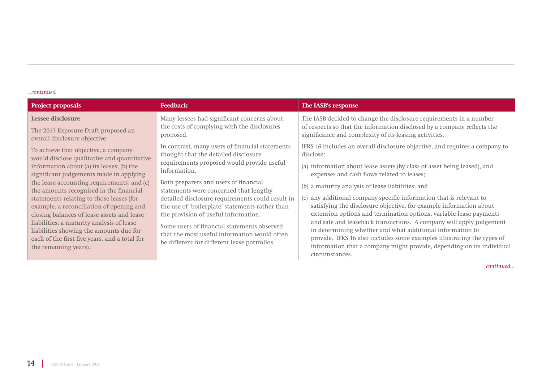| <b>Project proposals</b>                                                                                                                                                                                                                                                                                                                                                                      | <b>Feedback</b>                                                                                                                                                                                                                                                                                                                                                               | The IASB's response                                                                                                                                                                                                                                                                                                                                                                                                                                                                                                                                                                            |
|-----------------------------------------------------------------------------------------------------------------------------------------------------------------------------------------------------------------------------------------------------------------------------------------------------------------------------------------------------------------------------------------------|-------------------------------------------------------------------------------------------------------------------------------------------------------------------------------------------------------------------------------------------------------------------------------------------------------------------------------------------------------------------------------|------------------------------------------------------------------------------------------------------------------------------------------------------------------------------------------------------------------------------------------------------------------------------------------------------------------------------------------------------------------------------------------------------------------------------------------------------------------------------------------------------------------------------------------------------------------------------------------------|
| Lessee disclosure                                                                                                                                                                                                                                                                                                                                                                             | Many lessees had significant concerns about                                                                                                                                                                                                                                                                                                                                   | The IASB decided to change the disclosure requirements in a number                                                                                                                                                                                                                                                                                                                                                                                                                                                                                                                             |
| The 2013 Exposure Draft proposed an                                                                                                                                                                                                                                                                                                                                                           | the costs of complying with the disclosures                                                                                                                                                                                                                                                                                                                                   | of respects so that the information disclosed by a company reflects the                                                                                                                                                                                                                                                                                                                                                                                                                                                                                                                        |
| overall disclosure objective.                                                                                                                                                                                                                                                                                                                                                                 | proposed.                                                                                                                                                                                                                                                                                                                                                                     | significance and complexity of its leasing activities.                                                                                                                                                                                                                                                                                                                                                                                                                                                                                                                                         |
| To achieve that objective, a company                                                                                                                                                                                                                                                                                                                                                          | In contrast, many users of financial statements                                                                                                                                                                                                                                                                                                                               | IFRS 16 includes an overall disclosure objective, and requires a company to                                                                                                                                                                                                                                                                                                                                                                                                                                                                                                                    |
| would disclose qualitative and quantitative                                                                                                                                                                                                                                                                                                                                                   | thought that the detailed disclosure                                                                                                                                                                                                                                                                                                                                          | disclose:                                                                                                                                                                                                                                                                                                                                                                                                                                                                                                                                                                                      |
| information about (a) its leases; (b) the                                                                                                                                                                                                                                                                                                                                                     | requirements proposed would provide useful                                                                                                                                                                                                                                                                                                                                    | (a) information about lease assets (by class of asset being leased), and                                                                                                                                                                                                                                                                                                                                                                                                                                                                                                                       |
| significant judgements made in applying                                                                                                                                                                                                                                                                                                                                                       | information.                                                                                                                                                                                                                                                                                                                                                                  | expenses and cash flows related to leases;                                                                                                                                                                                                                                                                                                                                                                                                                                                                                                                                                     |
| the lease accounting requirements; and (c)<br>the amounts recognised in the financial<br>statements relating to those leases (for<br>example, a reconciliation of opening and<br>closing balances of lease assets and lease<br>liabilities; a maturity analysis of lease<br>liabilities showing the amounts due for<br>each of the first five years, and a total for<br>the remaining years). | Both preparers and users of financial<br>statements were concerned that lengthy<br>detailed disclosure requirements could result in<br>the use of 'boilerplate' statements rather than<br>the provision of useful information.<br>Some users of financial statements observed<br>that the most useful information would often<br>be different for different lease portfolios. | (b) a maturity analysis of lease liabilities; and<br>any additional company-specific information that is relevant to<br>$\left( c\right)$<br>satisfying the disclosure objective, for example information about<br>extension options and termination options, variable lease payments<br>and sale and leaseback transactions. A company will apply judgement<br>in determining whether and what additional information to<br>provide. IFRS 16 also includes some examples illustrating the types of<br>information that a company might provide, depending on its individual<br>circumstances. |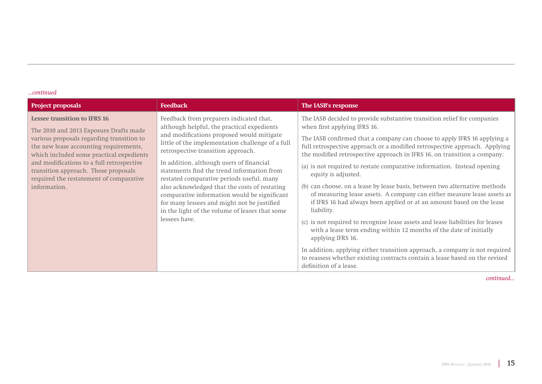| <b>Project proposals</b>                                                                                                                                                                                                                                                                                                                                         | <b>Feedback</b>                                                                                                                                                                                                                                                                                                                                                                                                                                                                                                                                                                        | The IASB's response                                                                                                                                                                                                                                                                                                                                                                                                                                                                                                                                                                                                                                                                                                                                                                                                                                                                                                                                                                                                                                                  |
|------------------------------------------------------------------------------------------------------------------------------------------------------------------------------------------------------------------------------------------------------------------------------------------------------------------------------------------------------------------|----------------------------------------------------------------------------------------------------------------------------------------------------------------------------------------------------------------------------------------------------------------------------------------------------------------------------------------------------------------------------------------------------------------------------------------------------------------------------------------------------------------------------------------------------------------------------------------|----------------------------------------------------------------------------------------------------------------------------------------------------------------------------------------------------------------------------------------------------------------------------------------------------------------------------------------------------------------------------------------------------------------------------------------------------------------------------------------------------------------------------------------------------------------------------------------------------------------------------------------------------------------------------------------------------------------------------------------------------------------------------------------------------------------------------------------------------------------------------------------------------------------------------------------------------------------------------------------------------------------------------------------------------------------------|
| <b>Lessee transition to IFRS 16</b><br>The 2010 and 2013 Exposure Drafts made<br>various proposals regarding transition to<br>the new lease accounting requirements,<br>which included some practical expedients<br>and modifications to a full retrospective<br>transition approach. Those proposals<br>required the restatement of comparative<br>information. | Feedback from preparers indicated that,<br>although helpful, the practical expedients<br>and modifications proposed would mitigate<br>little of the implementation challenge of a full<br>retrospective transition approach.<br>In addition, although users of financial<br>statements find the trend information from<br>restated comparative periods useful, many<br>also acknowledged that the costs of restating<br>comparative information would be significant<br>for many lessees and might not be justified<br>in the light of the volume of leases that some<br>lessees have. | The IASB decided to provide substantive transition relief for companies<br>when first applying IFRS 16.<br>The IASB confirmed that a company can choose to apply IFRS 16 applying a<br>full retrospective approach or a modified retrospective approach. Applying<br>the modified retrospective approach in IFRS 16, on transition a company:<br>(a) is not required to restate comparative information. Instead opening<br>equity is adjusted.<br>(b) can choose, on a lease by lease basis, between two alternative methods<br>of measuring lease assets. A company can either measure lease assets as<br>if IFRS 16 had always been applied or at an amount based on the lease<br>liability.<br>(c) is not required to recognise lease assets and lease liabilities for leases<br>with a lease term ending within 12 months of the date of initially<br>applying IFRS 16.<br>In addition, applying either transition approach, a company is not required<br>to reassess whether existing contracts contain a lease based on the revised<br>definition of a lease. |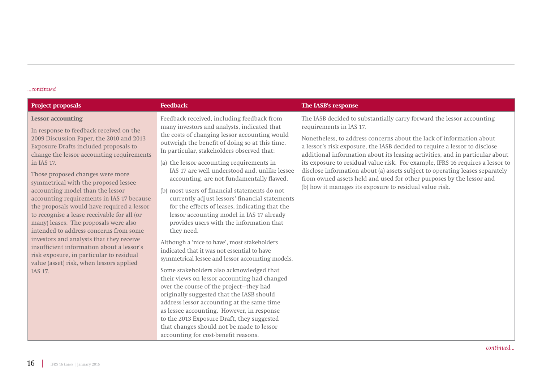| <b>Project proposals</b>                                                                                                                                                                                                                                                                                                                                                                                                                                                                                                                                                                                                                                                                                                                                     | <b>Feedback</b>                                                                                                                                                                                                                                                                                                                                                                                                                                                                                                                                                                                                                                                                                                                                                                                                                                                                                                                                                                                                                                                                                                                                                                                                         | The IASB's response                                                                                                                                                                                                                                                                                                                                                                                                                                                                                                                                                                                                                         |
|--------------------------------------------------------------------------------------------------------------------------------------------------------------------------------------------------------------------------------------------------------------------------------------------------------------------------------------------------------------------------------------------------------------------------------------------------------------------------------------------------------------------------------------------------------------------------------------------------------------------------------------------------------------------------------------------------------------------------------------------------------------|-------------------------------------------------------------------------------------------------------------------------------------------------------------------------------------------------------------------------------------------------------------------------------------------------------------------------------------------------------------------------------------------------------------------------------------------------------------------------------------------------------------------------------------------------------------------------------------------------------------------------------------------------------------------------------------------------------------------------------------------------------------------------------------------------------------------------------------------------------------------------------------------------------------------------------------------------------------------------------------------------------------------------------------------------------------------------------------------------------------------------------------------------------------------------------------------------------------------------|---------------------------------------------------------------------------------------------------------------------------------------------------------------------------------------------------------------------------------------------------------------------------------------------------------------------------------------------------------------------------------------------------------------------------------------------------------------------------------------------------------------------------------------------------------------------------------------------------------------------------------------------|
| <b>Lessor</b> accounting<br>In response to feedback received on the<br>2009 Discussion Paper, the 2010 and 2013<br>Exposure Drafts included proposals to<br>change the lessor accounting requirements<br>in IAS 17.<br>Those proposed changes were more<br>symmetrical with the proposed lessee<br>accounting model than the lessor<br>accounting requirements in IAS 17 because<br>the proposals would have required a lessor<br>to recognise a lease receivable for all (or<br>many) leases. The proposals were also<br>intended to address concerns from some<br>investors and analysts that they receive<br>insufficient information about a lessor's<br>risk exposure, in particular to residual<br>value (asset) risk, when lessors applied<br>IAS 17. | Feedback received, including feedback from<br>many investors and analysts, indicated that<br>the costs of changing lessor accounting would<br>outweigh the benefit of doing so at this time.<br>In particular, stakeholders observed that:<br>(a) the lessor accounting requirements in<br>IAS 17 are well understood and, unlike lessee<br>accounting, are not fundamentally flawed.<br>(b) most users of financial statements do not<br>currently adjust lessors' financial statements<br>for the effects of leases, indicating that the<br>lessor accounting model in IAS 17 already<br>provides users with the information that<br>they need.<br>Although a 'nice to have', most stakeholders<br>indicated that it was not essential to have<br>symmetrical lessee and lessor accounting models.<br>Some stakeholders also acknowledged that<br>their views on lessor accounting had changed<br>over the course of the project-they had<br>originally suggested that the IASB should<br>address lessor accounting at the same time<br>as lessee accounting. However, in response<br>to the 2013 Exposure Draft, they suggested<br>that changes should not be made to lessor<br>accounting for cost-benefit reasons. | The IASB decided to substantially carry forward the lessor accounting<br>requirements in IAS 17.<br>Nonetheless, to address concerns about the lack of information about<br>a lessor's risk exposure, the IASB decided to require a lessor to disclose<br>additional information about its leasing activities, and in particular about<br>its exposure to residual value risk. For example, IFRS 16 requires a lessor to<br>disclose information about (a) assets subject to operating leases separately<br>from owned assets held and used for other purposes by the lessor and<br>(b) how it manages its exposure to residual value risk. |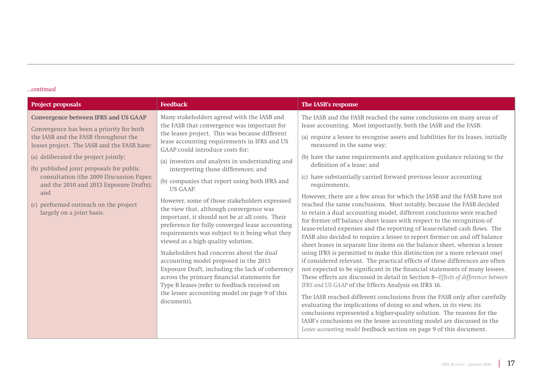| <b>Project proposals</b>                                                                                                                                                                                                                                                                                                                                                                                                               | <b>Feedback</b>                                                                                                                                                                                                                                                                                                                                                                                                                                                                                                                                                                                                                                                                                                                                                                                                                                                                                                                                                                              | The IASB's response                                                                                                                                                                                                                                                                                                                                                                                                                                                                                                                                                                                                                                                                                                                                                                                                                                                                                                                                                                                                                                                                                                                                                                                                                                                                                                                                                                                                                                                                                                                                                                                                                                                                                                                                                            |
|----------------------------------------------------------------------------------------------------------------------------------------------------------------------------------------------------------------------------------------------------------------------------------------------------------------------------------------------------------------------------------------------------------------------------------------|----------------------------------------------------------------------------------------------------------------------------------------------------------------------------------------------------------------------------------------------------------------------------------------------------------------------------------------------------------------------------------------------------------------------------------------------------------------------------------------------------------------------------------------------------------------------------------------------------------------------------------------------------------------------------------------------------------------------------------------------------------------------------------------------------------------------------------------------------------------------------------------------------------------------------------------------------------------------------------------------|--------------------------------------------------------------------------------------------------------------------------------------------------------------------------------------------------------------------------------------------------------------------------------------------------------------------------------------------------------------------------------------------------------------------------------------------------------------------------------------------------------------------------------------------------------------------------------------------------------------------------------------------------------------------------------------------------------------------------------------------------------------------------------------------------------------------------------------------------------------------------------------------------------------------------------------------------------------------------------------------------------------------------------------------------------------------------------------------------------------------------------------------------------------------------------------------------------------------------------------------------------------------------------------------------------------------------------------------------------------------------------------------------------------------------------------------------------------------------------------------------------------------------------------------------------------------------------------------------------------------------------------------------------------------------------------------------------------------------------------------------------------------------------|
| <b>Convergence between IFRS and US GAAP</b><br>Convergence has been a priority for both<br>the IASB and the FASB throughout the<br>leases project. The IASB and the FASB have:<br>(a) deliberated the project jointly;<br>(b) published joint proposals for public<br>consultation (the 2009 Discussion Paper,<br>and the 2010 and 2013 Exposure Drafts);<br>and<br>(c) performed outreach on the project<br>largely on a joint basis. | Many stakeholders agreed with the IASB and<br>the FASB that convergence was important for<br>the leases project. This was because different<br>lease accounting requirements in IFRS and US<br>GAAP could introduce costs for:<br>(a) investors and analysts in understanding and<br>interpreting those differences; and<br>(b) companies that report using both IFRS and<br><b>US GAAP.</b><br>However, some of those stakeholders expressed<br>the view that, although convergence was<br>important, it should not be at all costs. Their<br>preference for fully converged lease accounting<br>requirements was subject to it being what they<br>viewed as a high quality solution.<br>Stakeholders had concerns about the dual<br>accounting model proposed in the 2013<br>Exposure Draft, including the lack of coherency<br>across the primary financial statements for<br>Type B leases (refer to feedback received on<br>the lessee accounting model on page 9 of this<br>document). | The IASB and the FASB reached the same conclusions on many areas of<br>lease accounting. Most importantly, both the IASB and the FASB:<br>(a) require a lessee to recognise assets and liabilities for its leases, initially<br>measured in the same way;<br>(b) have the same requirements and application guidance relating to the<br>definition of a lease; and<br>(c) have substantially carried forward previous lessor accounting<br>requirements.<br>However, there are a few areas for which the IASB and the FASB have not<br>reached the same conclusions. Most notably, because the FASB decided<br>to retain a dual accounting model, different conclusions were reached<br>for former off balance sheet leases with respect to the recognition of<br>lease-related expenses and the reporting of lease-related cash flows. The<br>FASB also decided to require a lessee to report former on and off balance<br>sheet leases in separate line items on the balance sheet, whereas a lessee<br>using IFRS is permitted to make this distinction (or a more relevant one)<br>if considered relevant. The practical effects of these differences are often<br>not expected to be significant in the financial statements of many lessees.<br>These effects are discussed in detail in Section 8-Effects of differences between<br>IFRS and US GAAP of the Effects Analysis on IFRS 16.<br>The IASB reached different conclusions from the FASB only after carefully<br>evaluating the implications of doing so and when, in its view, its<br>conclusions represented a higher-quality solution. The reasons for the<br>IASB's conclusions on the lessee accounting model are discussed in the<br>Lessee accounting model feedback section on page 9 of this document. |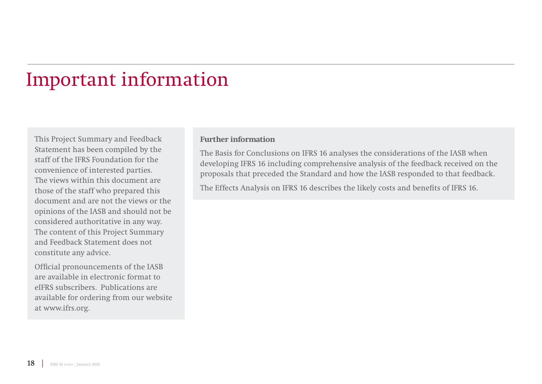# Important information

This Project Summary and Feedback Statement has been compiled by the staff of the IFRS Foundation for the convenience of interested parties. The views within this document are those of the staff who prepared this document and are not the views or the opinions of the IASB and should not be considered authoritative in any way. The content of this Project Summary and Feedback Statement does not constitute any advice.

Official pronouncements of the IASB are available in electronic format to eIFRS subscribers. Publications are available for ordering from our website at www.ifrs.org.

### **Further information**

The Basis for Conclusions on IFRS 16 analyses the considerations of the IASB when developing IFRS 16 including comprehensive analysis of the feedback received on the proposals that preceded the Standard and how the IASB responded to that feedback.

The Effects Analysis on IFRS 16 describes the likely costs and benefits of IFRS 16.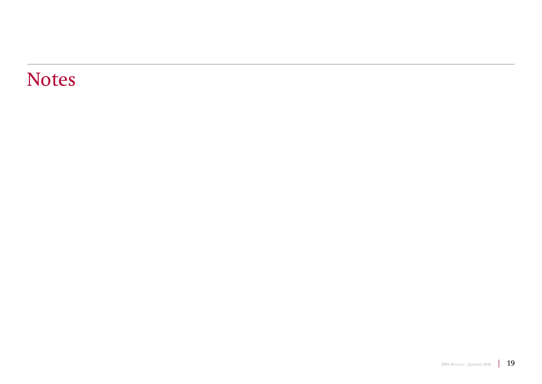## Notes